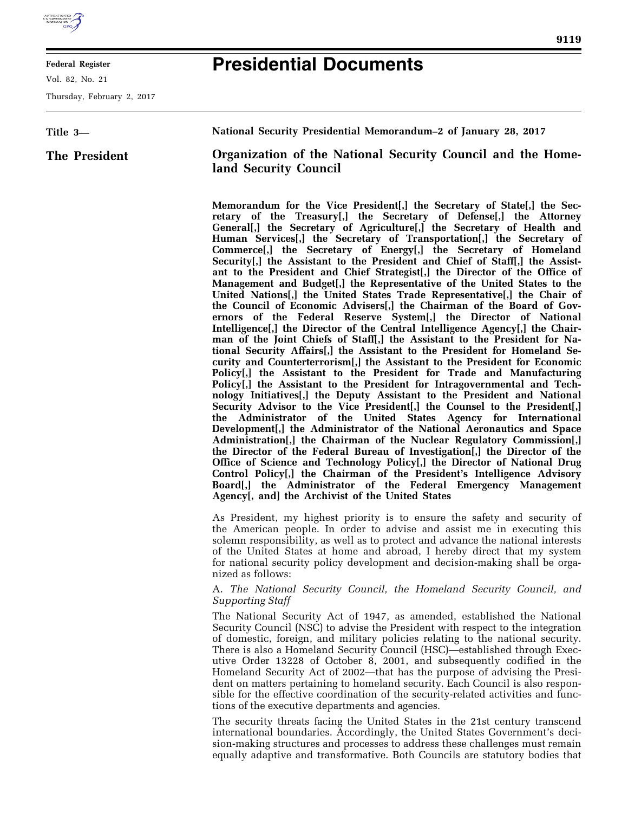

**Federal Register** 

Vol. 82, No. 21

**Title 3—** 

**The President** 

Thursday, February 2, 2017

# **Presidential Documents**

**National Security Presidential Memorandum–2 of January 28, 2017 Organization of the National Security Council and the Homeland Security Council Memorandum for the Vice President[,] the Secretary of State[,] the Sec-**

**retary of the Treasury[,] the Secretary of Defense[,] the Attorney General[,] the Secretary of Agriculture[,] the Secretary of Health and Human Services[,] the Secretary of Transportation[,] the Secretary of Commerce[,] the Secretary of Energy[,] the Secretary of Homeland Security[,] the Assistant to the President and Chief of Staff[,] the Assistant to the President and Chief Strategist[,] the Director of the Office of Management and Budget[,] the Representative of the United States to the United Nations[,] the United States Trade Representative[,] the Chair of the Council of Economic Advisers[,] the Chairman of the Board of Governors of the Federal Reserve System[,] the Director of National Intelligence[,] the Director of the Central Intelligence Agency[,] the Chairman of the Joint Chiefs of Staff[,] the Assistant to the President for National Security Affairs[,] the Assistant to the President for Homeland Security and Counterterrorism[,] the Assistant to the President for Economic Policy[,] the Assistant to the President for Trade and Manufacturing Policy[,] the Assistant to the President for Intragovernmental and Technology Initiatives[,] the Deputy Assistant to the President and National Security Advisor to the Vice President[,] the Counsel to the President[,] the Administrator of the United States Agency for International Development[,] the Administrator of the National Aeronautics and Space Administration[,] the Chairman of the Nuclear Regulatory Commission[,] the Director of the Federal Bureau of Investigation[,] the Director of the Office of Science and Technology Policy[,] the Director of National Drug Control Policy[,] the Chairman of the President's Intelligence Advisory Board[,] the Administrator of the Federal Emergency Management Agency[, and] the Archivist of the United States** 

As President, my highest priority is to ensure the safety and security of the American people. In order to advise and assist me in executing this solemn responsibility, as well as to protect and advance the national interests of the United States at home and abroad, I hereby direct that my system for national security policy development and decision-making shall be organized as follows:

## A. *The National Security Council, the Homeland Security Council, and Supporting Staff*

The National Security Act of 1947, as amended, established the National Security Council (NSC) to advise the President with respect to the integration of domestic, foreign, and military policies relating to the national security. There is also a Homeland Security Council (HSC)—established through Executive Order 13228 of October 8, 2001, and subsequently codified in the Homeland Security Act of 2002—that has the purpose of advising the President on matters pertaining to homeland security. Each Council is also responsible for the effective coordination of the security-related activities and functions of the executive departments and agencies.

The security threats facing the United States in the 21st century transcend international boundaries. Accordingly, the United States Government's decision-making structures and processes to address these challenges must remain equally adaptive and transformative. Both Councils are statutory bodies that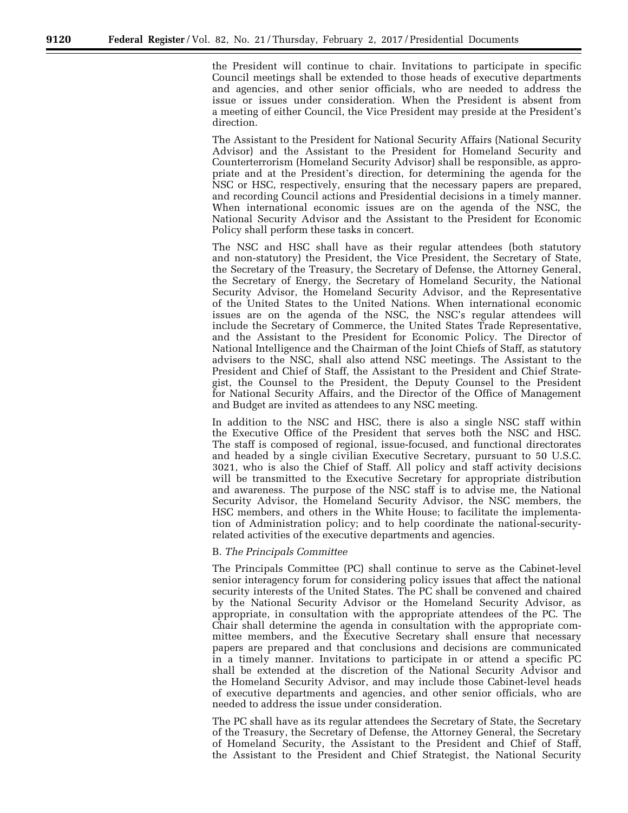the President will continue to chair. Invitations to participate in specific Council meetings shall be extended to those heads of executive departments and agencies, and other senior officials, who are needed to address the issue or issues under consideration. When the President is absent from a meeting of either Council, the Vice President may preside at the President's direction.

The Assistant to the President for National Security Affairs (National Security Advisor) and the Assistant to the President for Homeland Security and Counterterrorism (Homeland Security Advisor) shall be responsible, as appropriate and at the President's direction, for determining the agenda for the NSC or HSC, respectively, ensuring that the necessary papers are prepared, and recording Council actions and Presidential decisions in a timely manner. When international economic issues are on the agenda of the NSC, the National Security Advisor and the Assistant to the President for Economic Policy shall perform these tasks in concert.

The NSC and HSC shall have as their regular attendees (both statutory and non-statutory) the President, the Vice President, the Secretary of State, the Secretary of the Treasury, the Secretary of Defense, the Attorney General, the Secretary of Energy, the Secretary of Homeland Security, the National Security Advisor, the Homeland Security Advisor, and the Representative of the United States to the United Nations. When international economic issues are on the agenda of the NSC, the NSC's regular attendees will include the Secretary of Commerce, the United States Trade Representative, and the Assistant to the President for Economic Policy. The Director of National Intelligence and the Chairman of the Joint Chiefs of Staff, as statutory advisers to the NSC, shall also attend NSC meetings. The Assistant to the President and Chief of Staff, the Assistant to the President and Chief Strategist, the Counsel to the President, the Deputy Counsel to the President for National Security Affairs, and the Director of the Office of Management and Budget are invited as attendees to any NSC meeting.

In addition to the NSC and HSC, there is also a single NSC staff within the Executive Office of the President that serves both the NSC and HSC. The staff is composed of regional, issue-focused, and functional directorates and headed by a single civilian Executive Secretary, pursuant to 50 U.S.C. 3021, who is also the Chief of Staff. All policy and staff activity decisions will be transmitted to the Executive Secretary for appropriate distribution and awareness. The purpose of the NSC staff is to advise me, the National Security Advisor, the Homeland Security Advisor, the NSC members, the HSC members, and others in the White House; to facilitate the implementation of Administration policy; and to help coordinate the national-securityrelated activities of the executive departments and agencies.

#### B. *The Principals Committee*

The Principals Committee (PC) shall continue to serve as the Cabinet-level senior interagency forum for considering policy issues that affect the national security interests of the United States. The PC shall be convened and chaired by the National Security Advisor or the Homeland Security Advisor, as appropriate, in consultation with the appropriate attendees of the PC. The Chair shall determine the agenda in consultation with the appropriate committee members, and the Executive Secretary shall ensure that necessary papers are prepared and that conclusions and decisions are communicated in a timely manner. Invitations to participate in or attend a specific PC shall be extended at the discretion of the National Security Advisor and the Homeland Security Advisor, and may include those Cabinet-level heads of executive departments and agencies, and other senior officials, who are needed to address the issue under consideration.

The PC shall have as its regular attendees the Secretary of State, the Secretary of the Treasury, the Secretary of Defense, the Attorney General, the Secretary of Homeland Security, the Assistant to the President and Chief of Staff, the Assistant to the President and Chief Strategist, the National Security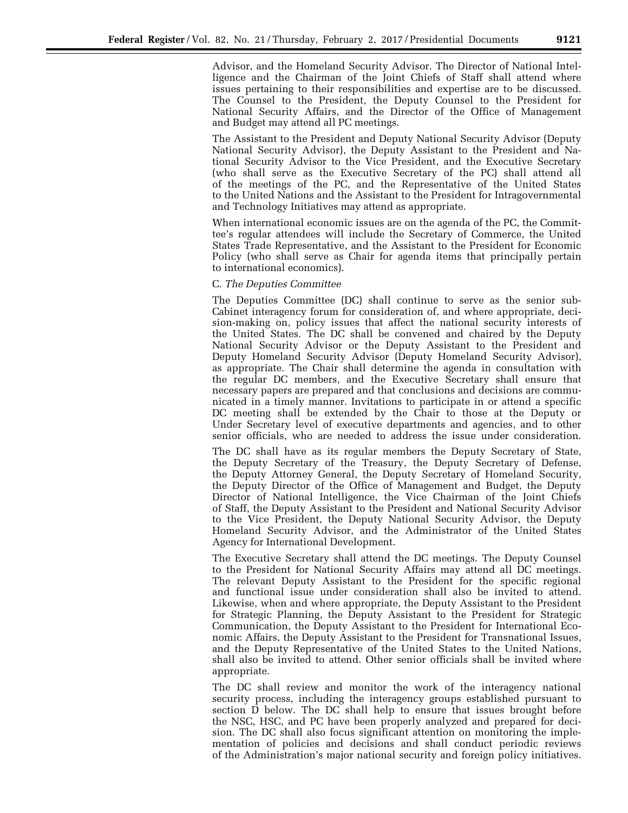Advisor, and the Homeland Security Advisor. The Director of National Intelligence and the Chairman of the Joint Chiefs of Staff shall attend where issues pertaining to their responsibilities and expertise are to be discussed. The Counsel to the President, the Deputy Counsel to the President for National Security Affairs, and the Director of the Office of Management and Budget may attend all PC meetings.

The Assistant to the President and Deputy National Security Advisor (Deputy National Security Advisor), the Deputy Assistant to the President and National Security Advisor to the Vice President, and the Executive Secretary (who shall serve as the Executive Secretary of the PC) shall attend all of the meetings of the PC, and the Representative of the United States to the United Nations and the Assistant to the President for Intragovernmental and Technology Initiatives may attend as appropriate.

When international economic issues are on the agenda of the PC, the Committee's regular attendees will include the Secretary of Commerce, the United States Trade Representative, and the Assistant to the President for Economic Policy (who shall serve as Chair for agenda items that principally pertain to international economics).

#### C. *The Deputies Committee*

The Deputies Committee (DC) shall continue to serve as the senior sub-Cabinet interagency forum for consideration of, and where appropriate, decision-making on, policy issues that affect the national security interests of the United States. The DC shall be convened and chaired by the Deputy National Security Advisor or the Deputy Assistant to the President and Deputy Homeland Security Advisor (Deputy Homeland Security Advisor), as appropriate. The Chair shall determine the agenda in consultation with the regular DC members, and the Executive Secretary shall ensure that necessary papers are prepared and that conclusions and decisions are communicated in a timely manner. Invitations to participate in or attend a specific DC meeting shall be extended by the Chair to those at the Deputy or Under Secretary level of executive departments and agencies, and to other senior officials, who are needed to address the issue under consideration.

The DC shall have as its regular members the Deputy Secretary of State, the Deputy Secretary of the Treasury, the Deputy Secretary of Defense, the Deputy Attorney General, the Deputy Secretary of Homeland Security, the Deputy Director of the Office of Management and Budget, the Deputy Director of National Intelligence, the Vice Chairman of the Joint Chiefs of Staff, the Deputy Assistant to the President and National Security Advisor to the Vice President, the Deputy National Security Advisor, the Deputy Homeland Security Advisor, and the Administrator of the United States Agency for International Development.

The Executive Secretary shall attend the DC meetings. The Deputy Counsel to the President for National Security Affairs may attend all DC meetings. The relevant Deputy Assistant to the President for the specific regional and functional issue under consideration shall also be invited to attend. Likewise, when and where appropriate, the Deputy Assistant to the President for Strategic Planning, the Deputy Assistant to the President for Strategic Communication, the Deputy Assistant to the President for International Economic Affairs, the Deputy Assistant to the President for Transnational Issues, and the Deputy Representative of the United States to the United Nations, shall also be invited to attend. Other senior officials shall be invited where appropriate.

The DC shall review and monitor the work of the interagency national security process, including the interagency groups established pursuant to section D below. The DC shall help to ensure that issues brought before the NSC, HSC, and PC have been properly analyzed and prepared for decision. The DC shall also focus significant attention on monitoring the implementation of policies and decisions and shall conduct periodic reviews of the Administration's major national security and foreign policy initiatives.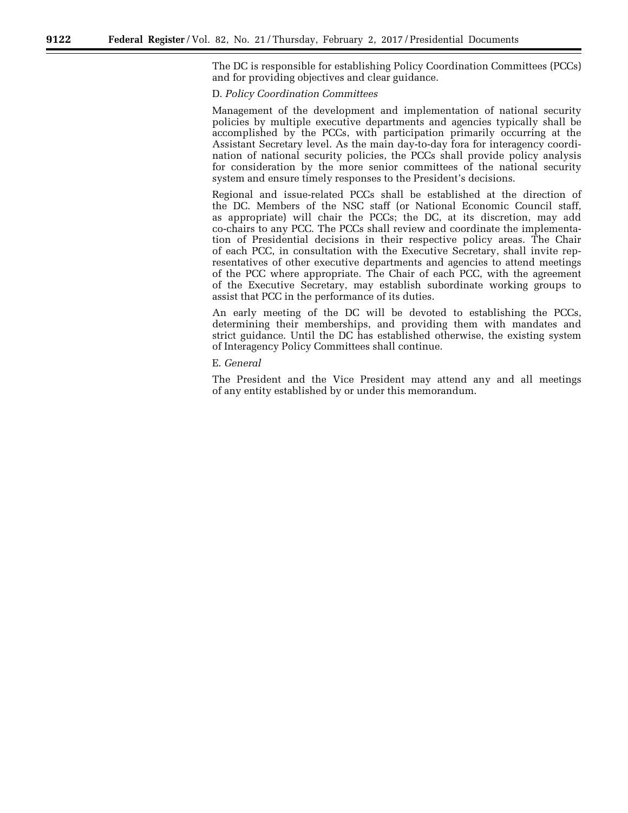The DC is responsible for establishing Policy Coordination Committees (PCCs) and for providing objectives and clear guidance.

### D. *Policy Coordination Committees*

Management of the development and implementation of national security policies by multiple executive departments and agencies typically shall be accomplished by the PCCs, with participation primarily occurring at the Assistant Secretary level. As the main day-to-day fora for interagency coordination of national security policies, the PCCs shall provide policy analysis for consideration by the more senior committees of the national security system and ensure timely responses to the President's decisions.

Regional and issue-related PCCs shall be established at the direction of the DC. Members of the NSC staff (or National Economic Council staff, as appropriate) will chair the PCCs; the DC, at its discretion, may add co-chairs to any PCC. The PCCs shall review and coordinate the implementation of Presidential decisions in their respective policy areas. The Chair of each PCC, in consultation with the Executive Secretary, shall invite representatives of other executive departments and agencies to attend meetings of the PCC where appropriate. The Chair of each PCC, with the agreement of the Executive Secretary, may establish subordinate working groups to assist that PCC in the performance of its duties.

An early meeting of the DC will be devoted to establishing the PCCs, determining their memberships, and providing them with mandates and strict guidance. Until the DC has established otherwise, the existing system of Interagency Policy Committees shall continue.

#### E. *General*

The President and the Vice President may attend any and all meetings of any entity established by or under this memorandum.